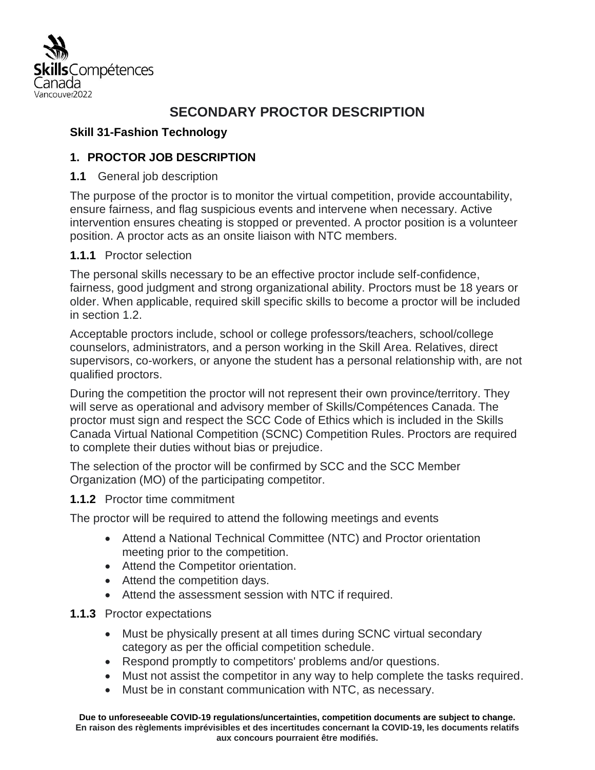

# **SECONDARY PROCTOR DESCRIPTION**

### **Skill 31-Fashion Technology**

### **1. PROCTOR JOB DESCRIPTION**

#### **1.1** General job description

The purpose of the proctor is to monitor the virtual competition, provide accountability, ensure fairness, and flag suspicious events and intervene when necessary. Active intervention ensures cheating is stopped or prevented. A proctor position is a volunteer position. A proctor acts as an onsite liaison with NTC members.

#### **1.1.1** Proctor selection

The personal skills necessary to be an effective proctor include self-confidence, fairness, good judgment and strong organizational ability. Proctors must be 18 years or older. When applicable, required skill specific skills to become a proctor will be included in section 1.2.

Acceptable proctors include, school or college professors/teachers, school/college counselors, administrators, and a person working in the Skill Area. Relatives, direct supervisors, co-workers, or anyone the student has a personal relationship with, are not qualified proctors.

During the competition the proctor will not represent their own province/territory. They will serve as operational and advisory member of Skills/Compétences Canada. The proctor must sign and respect the SCC Code of Ethics which is included in the Skills Canada Virtual National Competition (SCNC) Competition Rules. Proctors are required to complete their duties without bias or prejudice.

The selection of the proctor will be confirmed by SCC and the SCC Member Organization (MO) of the participating competitor.

#### **1.1.2** Proctor time commitment

The proctor will be required to attend the following meetings and events

- Attend a National Technical Committee (NTC) and Proctor orientation meeting prior to the competition.
- Attend the Competitor orientation.
- Attend the competition days.
- Attend the assessment session with NTC if required.

#### **1.1.3** Proctor expectations

- Must be physically present at all times during SCNC virtual secondary category as per the official competition schedule.
- Respond promptly to competitors' problems and/or questions.
- Must not assist the competitor in any way to help complete the tasks required.
- Must be in constant communication with NTC, as necessary.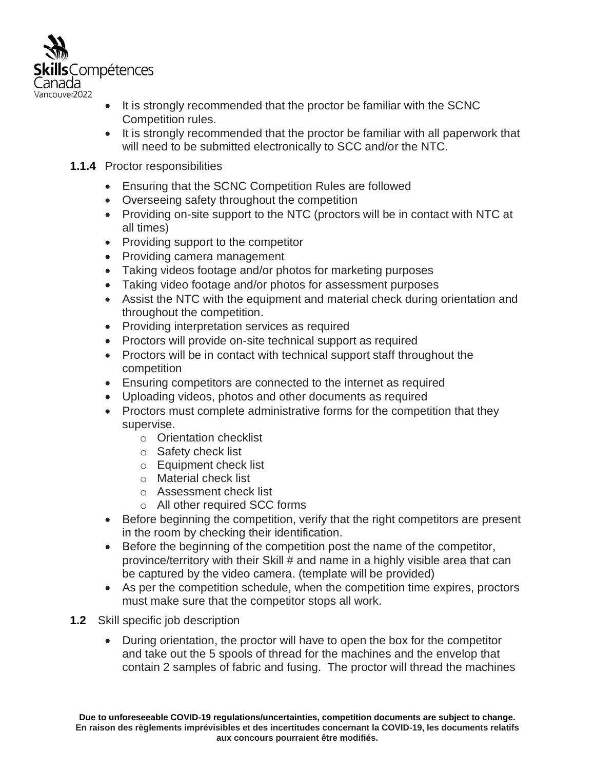

- It is strongly recommended that the proctor be familiar with the SCNC Competition rules.
- It is strongly recommended that the proctor be familiar with all paperwork that will need to be submitted electronically to SCC and/or the NTC.

#### **1.1.4** Proctor responsibilities

- Ensuring that the SCNC Competition Rules are followed
- Overseeing safety throughout the competition
- Providing on-site support to the NTC (proctors will be in contact with NTC at all times)
- Providing support to the competitor
- Providing camera management
- Taking videos footage and/or photos for marketing purposes
- Taking video footage and/or photos for assessment purposes
- Assist the NTC with the equipment and material check during orientation and throughout the competition.
- Providing interpretation services as required
- Proctors will provide on-site technical support as required
- Proctors will be in contact with technical support staff throughout the competition
- Ensuring competitors are connected to the internet as required
- Uploading videos, photos and other documents as required
- Proctors must complete administrative forms for the competition that they supervise.
	- o Orientation checklist
	- o Safety check list
	- o Equipment check list
	- o Material check list
	- o Assessment check list
	- o All other required SCC forms
- Before beginning the competition, verify that the right competitors are present in the room by checking their identification.
- Before the beginning of the competition post the name of the competitor, province/territory with their Skill # and name in a highly visible area that can be captured by the video camera. (template will be provided)
- As per the competition schedule, when the competition time expires, proctors must make sure that the competitor stops all work.
- **1.2** Skill specific job description
	- During orientation, the proctor will have to open the box for the competitor and take out the 5 spools of thread for the machines and the envelop that contain 2 samples of fabric and fusing. The proctor will thread the machines